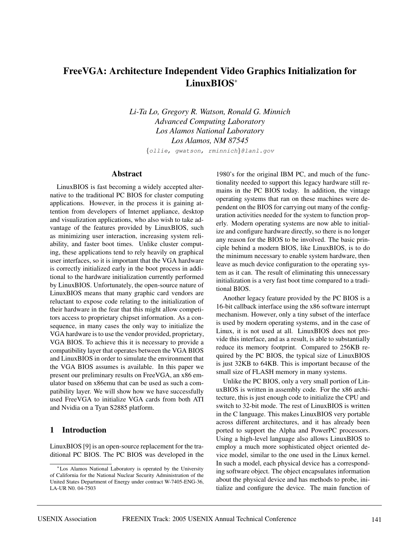# **FreeVGA: Architecture Independent Video Graphics Initialization for LinuxBIOS**<sup>∗</sup>

*Li-Ta Lo, Gregory R. Watson, Ronald G. Minnich Advanced Computing Laboratory Los Alamos National Laboratory Los Alamos, NM 87545*

{ollie, gwatson, rminnich}@lanl.gov

#### **Abstract**

LinuxBIOS is fast becoming a widely accepted alternative to the traditional PC BIOS for cluster computing applications. However, in the process it is gaining attention from developers of Internet appliance, desktop and visualization applications, who also wish to take advantage of the features provided by LinuxBIOS, such as minimizing user interaction, increasing system reliability, and faster boot times. Unlike cluster computing, these applications tend to rely heavily on graphical user interfaces, so it is important that the VGA hardware is correctly initialized early in the boot process in additional to the hardware initialization currently performed by LinuxBIOS. Unfortunately, the open-source nature of LinuxBIOS means that many graphic card vendors are reluctant to expose code relating to the initialization of their hardware in the fear that this might allow competitors access to proprietary chipset information. As a consequence, in many cases the only way to initialize the VGA hardware is to use the vendor provided, proprietary, VGA BIOS. To achieve this it is necessary to provide a compatibility layer that operates between the VGA BIOS and LinuxBIOS in order to simulate the environment that the VGA BIOS assumes is available. In this paper we present our preliminary results on FreeVGA, an x86 emulator based on x86emu that can be used as such a compatibility layer. We will show how we have successfully used FreeVGA to initialize VGA cards from both ATI and Nvidia on a Tyan S2885 platform.

#### **1 Introduction**

LinuxBIOS [9] is an open-source replacement for the traditional PC BIOS. The PC BIOS was developed in the 1980's for the original IBM PC, and much of the functionality needed to support this legacy hardware still remains in the PC BIOS today. In addition, the vintage operating systems that ran on these machines were dependent on the BIOS for carrying out many of the configuration activities needed for the system to function properly. Modern operating systems are now able to initialize and configure hardware directly, so there is no longer any reason for the BIOS to be involved. The basic principle behind a modern BIOS, like LinuxBIOS, is to do the minimum necessary to enable system hardware, then leave as much device configuration to the operating system as it can. The result of eliminating this unnecessary initialization is a very fast boot time compared to a traditional BIOS.

Another legacy feature provided by the PC BIOS is a 16-bit callback interface using the x86 software interrupt mechanism. However, only a tiny subset of the interface is used by modern operating systems, and in the case of Linux, it is not used at all. LinuxBIOS does not provide this interface, and as a result, is able to substantially reduce its memory footprint. Compared to 256KB required by the PC BIOS, the typical size of LinuxBIOS is just 32KB to 64KB. This is important because of the small size of FLASH memory in many systems.

Unlike the PC BIOS, only a very small portion of LinuxBIOS is written in assembly code. For the x86 architecture, this is just enough code to initialize the CPU and switch to 32-bit mode. The rest of LinuxBIOS is written in the C language. This makes LinuxBIOS very portable across different architectures, and it has already been ported to support the Alpha and PowerPC processors. Using a high-level language also allows LinuxBIOS to employ a much more sophisticated object oriented device model, similar to the one used in the Linux kernel. In such a model, each physical device has a corresponding software object. The object encapsulates information about the physical device and has methods to probe, initialize and configure the device. The main function of

<sup>∗</sup>Los Alamos National Laboratory is operated by the University of California for the National Nuclear Security Administration of the United States Department of Energy under contract W-7405-ENG-36, LA-UR N0. 04-7503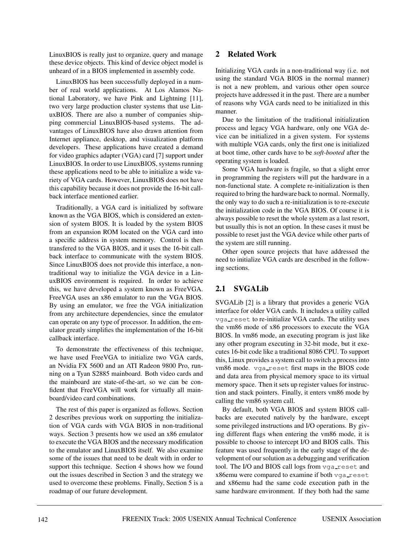LinuxBIOS is really just to organize, query and manage these device objects. This kind of device object model is unheard of in a BIOS implemented in assembly code.

LinuxBIOS has been successfully deployed in a number of real world applications. At Los Alamos National Laboratory, we have Pink and Lightning [11], two very large production cluster systems that use LinuxBIOS. There are also a number of companies shipping commercial LinuxBIOS-based systems. The advantages of LinuxBIOS have also drawn attention from Internet appliance, desktop, and visualization platform developers. These applications have created a demand for video graphics adapter (VGA) card [7] support under LinuxBIOS. In order to use LinuxBIOS, systems running these applications need to be able to initialize a wide variety of VGA cards. However, LinuxBIOS does not have this capability because it does not provide the 16-bit callback interface mentioned earlier.

Traditionally, a VGA card is initialized by software known as the VGA BIOS, which is considered an extension of system BIOS. It is loaded by the system BIOS from an expansion ROM located on the VGA card into a specific address in system memory. Control is then transfered to the VGA BIOS, and it uses the 16-bit callback interface to communicate with the system BIOS. Since LinuxBIOS does not provide this interface, a nontraditional way to initialize the VGA device in a LinuxBIOS environment is required. In order to achieve this, we have developed a system known as FreeVGA. FreeVGA uses an x86 emulator to run the VGA BIOS. By using an emulator, we free the VGA initialization from any architecture dependencies, since the emulator can operate on any type of processor. In addition, the emulator greatly simplifies the implementation of the 16-bit callback interface.

To demonstrate the effectiveness of this technique, we have used FreeVGA to initialize two VGA cards, an Nvidia FX 5600 and an ATI Radeon 9800 Pro, running on a Tyan S2885 mainboard. Both video cards and the mainboard are state-of-the-art, so we can be confident that FreeVGA will work for virtually all mainboard/video card combinations.

The rest of this paper is organized as follows. Section 2 describes previous work on supporting the initialization of VGA cards with VGA BIOS in non-traditional ways. Section 3 presents how we used an x86 emulator to execute the VGA BIOS and the necessary modification to the emulator and LinuxBIOS itself. We also examine some of the issues that need to be dealt with in order to support this technique. Section 4 shows how we found out the issues described in Section 3 and the strategy we used to overcome these problems. Finally, Section 5 is a roadmap of our future development.

## **2 Related Work**

Initializing VGA cards in a non-traditional way (i.e. not using the standard VGA BIOS in the normal manner) is not a new problem, and various other open source projects have addressed it in the past. There are a number of reasons why VGA cards need to be initialized in this manner.

Due to the limitation of the traditional initialization process and legacy VGA hardware, only one VGA device can be initialized in a given system. For systems with multiple VGA cards, only the first one is initialized at boot time, other cards have to be *soft-booted* after the operating system is loaded.

Some VGA hardware is fragile, so that a slight error in programming the registers will put the hardware in a non-functional state. A complete re-initialization is then required to bring the hardware back to normal. Normally, the only way to do such a re-initialization is to re-execute the initialization code in the VGA BIOS. Of course it is always possible to reset the whole system as a last resort, but usually this is not an option. In these cases it must be possible to reset just the VGA device while other parts of the system are still running.

Other open source projects that have addressed the need to initialize VGA cards are described in the following sections.

## **2.1 SVGALib**

SVGALib [2] is a library that provides a generic VGA interface for older VGA cards. It includes a utility called vga\_reset to re-initialize VGA cards. The utility uses the vm86 mode of x86 processors to execute the VGA BIOS. In vm86 mode, an executing program is just like any other program executing in 32-bit mode, but it executes 16-bit code like a traditional 8086 CPU. To support this, Linux provides a system call to switch a process into vm86 mode. vga reset first maps in the BIOS code and data area from physical memory space to its virtual memory space. Then it sets up register values for instruction and stack pointers. Finally, it enters vm86 mode by calling the vm86 system call.

By default, both VGA BIOS and system BIOS callbacks are executed natively by the hardware, except some privileged instructions and I/O operations. By giving different flags when entering the vm86 mode, it is possible to choose to intercept I/O and BIOS calls. This feature was used frequently in the early stage of the development of our solution as a debugging and verification tool. The I/O and BIOS call logs from vga reset and x86emu were compared to examine if both vga reset and x86emu had the same code execution path in the same hardware environment. If they both had the same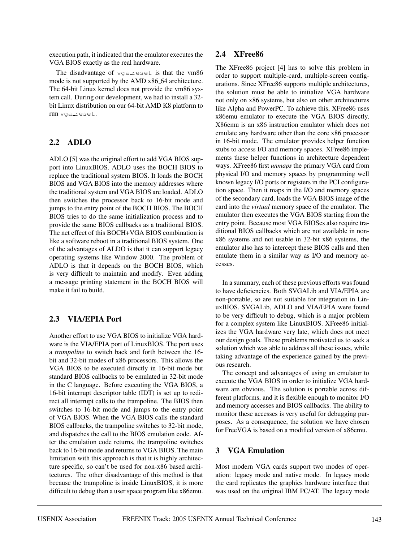execution path, it indicated that the emulator executes the VGA BIOS exactly as the real hardware.

The disadvantage of vga\_reset is that the vm86 mode is not supported by the AMD x86 64 architecture. The 64-bit Linux kernel does not provide the vm86 system call. During our development, we had to install a 32 bit Linux distribution on our 64-bit AMD K8 platform to run vga reset.

## **2.2 ADLO**

ADLO [5] was the original effort to add VGA BIOS support into LinuxBIOS. ADLO uses the BOCH BIOS to replace the traditional system BIOS. It loads the BOCH BIOS and VGA BIOS into the memory addresses where the traditional system and VGA BIOS are loaded. ADLO then switches the processor back to 16-bit mode and jumps to the entry point of the BOCH BIOS. The BOCH BIOS tries to do the same initialization process and to provide the same BIOS callbacks as a traditional BIOS. The net effect of this BOCH+VGA BIOS combination is like a software reboot in a traditional BIOS system. One of the advantages of ALDO is that it can support legacy operating systems like Window 2000. The problem of ADLO is that it depends on the BOCH BIOS, which is very difficult to maintain and modify. Even adding a message printing statement in the BOCH BIOS will make it fail to build.

## **2.3 VIA/EPIA Port**

Another effort to use VGA BIOS to initialize VGA hardware is the VIA/EPIA port of LinuxBIOS. The port uses a *trampoline* to switch back and forth between the 16 bit and 32-bit modes of x86 processors. This allows the VGA BIOS to be executed directly in 16-bit mode but standard BIOS callbacks to be emulated in 32-bit mode in the C language. Before executing the VGA BIOS, a 16-bit interrupt descriptor table (IDT) is set up to redirect all interrupt calls to the trampoline. The BIOS then switches to 16-bit mode and jumps to the entry point of VGA BIOS. When the VGA BIOS calls the standard BIOS callbacks, the trampoline switches to 32-bit mode, and dispatches the call to the BIOS emulation code. After the emulation code returns, the trampoline switches back to 16-bit mode and returns to VGA BIOS. The main limitation with this approach is that it is highly architecture specific, so can't be used for non-x86 based architectures. The other disadvantage of this method is that because the trampoline is inside LinuxBIOS, it is more difficult to debug than a user space program like x86emu.

### **2.4 XFree86**

The XFree86 project [4] has to solve this problem in order to support multiple-card, multiple-screen configurations. Since XFree86 supports multiple architectures, the solution must be able to initialize VGA hardware not only on x86 systems, but also on other architectures like Alpha and PowerPC. To achieve this, XFree86 uses x86emu emulator to execute the VGA BIOS directly. X86emu is an x86 instruction emulator which does not emulate any hardware other than the core x86 processor in 16-bit mode. The emulator provides helper function stubs to access I/O and memory spaces. XFree86 implements these helper functions in architecture dependent ways. XFree86 first *unmaps* the primary VGA card from physical I/O and memory spaces by programming well known legacy I/O ports or registers in the PCI configuration space. Then it maps in the I/O and memory spaces of the secondary card, loads the VGA BIOS image of the card into the *virtual* memory space of the emulator. The emulator then executes the VGA BIOS starting from the entry point. Because most VGA BIOSes also require traditional BIOS callbacks which are not available in nonx86 systems and not usable in 32-bit x86 systems, the emulator also has to intercept these BIOS calls and then emulate them in a similar way as I/O and memory accesses.

In a summary, each of these previous efforts was found to have deficiencies. Both SVGALib and VIA/EPIA are non-portable, so are not suitable for integration in LinuxBIOS. SVGALib, ADLO and VIA/EPIA were found to be very difficult to debug, which is a major problem for a complex system like LinuxBIOS. XFree86 initializes the VGA hardware very late, which does not meet our design goals. These problems motivated us to seek a solution which was able to address all these issues, while taking advantage of the experience gained by the previous research.

The concept and advantages of using an emulator to execute the VGA BIOS in order to initialize VGA hardware are obvious. The solution is portable across different platforms, and it is flexible enough to monitor I/O and memory accesses and BIOS callbacks. The ability to monitor these accesses is very useful for debugging purposes. As a consequence, the solution we have chosen for FreeVGA is based on a modified version of x86emu.

## **3 VGA Emulation**

Most modern VGA cards support two modes of operation: legacy mode and native mode. In legacy mode the card replicates the graphics hardware interface that was used on the original IBM PC/AT. The legacy mode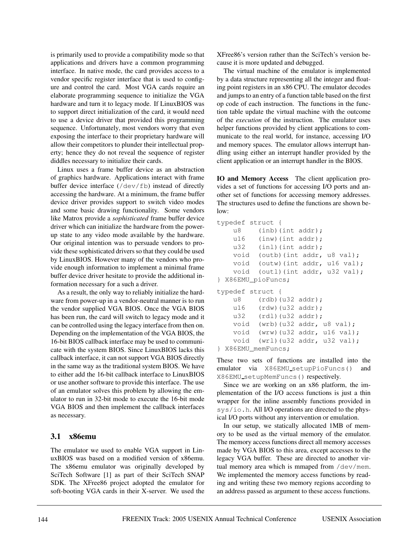is primarily used to provide a compatibility mode so that applications and drivers have a common programming interface. In native mode, the card provides access to a vendor specific register interface that is used to configure and control the card. Most VGA cards require an elaborate programming sequence to initialize the VGA hardware and turn it to legacy mode. If LinuxBIOS was to support direct initialization of the card, it would need to use a device driver that provided this programming sequence. Unfortunately, most vendors worry that even exposing the interface to their proprietary hardware will allow their competitors to plunder their intellectual property; hence they do not reveal the sequence of register diddles necessary to initialize their cards.

Linux uses a frame buffer device as an abstraction of graphics hardware. Applications interact with frame buffer device interface  $//dev/fb)$  instead of directly accessing the hardware. At a minimum, the frame buffer device driver provides support to switch video modes and some basic drawing functionality. Some vendors like Matrox provide a *sophisticated* frame buffer device driver which can initialize the hardware from the powerup state to any video mode available by the hardware. Our original intention was to persuade vendors to provide these sophisticated drivers so that they could be used by LinuxBIOS. However many of the vendors who provide enough information to implement a minimal frame buffer device driver hesitate to provide the additional information necessary for a such a driver.

As a result, the only way to reliably initialize the hardware from power-up in a vendor-neutral manner is to run the vendor supplied VGA BIOS. Once the VGA BIOS has been run, the card will switch to legacy mode and it can be controlled using the legacy interface from then on. Depending on the implementation of the VGA BIOS, the 16-bit BIOS callback interface may be used to communicate with the system BIOS. Since LinuxBIOS lacks this callback interface, it can not support VGA BIOS directly in the same way as the traditional system BIOS. We have to either add the 16-bit callback interface to LinuxBIOS or use another software to provide this interface. The use of an emulator solves this problem by allowing the emulator to run in 32-bit mode to execute the 16-bit mode VGA BIOS and then implement the callback interfaces as necessary.

## **3.1 x86emu**

The emulator we used to enable VGA support in LinuxBIOS was based on a modified version of x86emu. The x86emu emulator was originally developed by SciTech Software [1] as part of their SciTech SNAP SDK. The XFree86 project adopted the emulator for soft-booting VGA cards in their X-server. We used the

XFree86's version rather than the SciTech's version because it is more updated and debugged.

The virtual machine of the emulator is implemented by a data structure representing all the integer and floating point registers in an x86 CPU. The emulator decodes and jumps to an entry of a function table based on the first op code of each instruction. The functions in the function table update the virtual machine with the outcome of the *execution* of the instruction. The emulator uses helper functions provided by client applications to communicate to the real world, for instance, accessing I/O and memory spaces. The emulator allows interrupt handling using either an interrupt handler provided by the client application or an interrupt handler in the BIOS.

**IO and Memory Access** The client application provides a set of functions for accessing I/O ports and another set of functions for accessing memory addresses. The structures used to define the functions are shown below:

```
typedef struct {
   u8 (inb)(int addr);
   u16 (inw)(int addr);
   u32 (inl)(int addr);
   void (outb)(int addr, u8 val);
   void (outw)(int addr, u16 val);
   void (outl)(int addr, u32 val);
} X86EMU_pioFuncs;
typedef struct {
   u8 (rdb)(u32 addr);
   u16 (rdw)(u32 addr);
   u32 (rdl)(u32 addr);
   void (wrb)(u32 addr, u8 val);
   void (wrw)(u32 addr, u16 val);
   void (wrl)(u32 addr, u32 val);
```
} X86EMU\_memFuncs;

These two sets of functions are installed into the emulator via X86EMU setupPioFuncs() and X86EMU setupMemFuncs() respectively.

Since we are working on an x86 platform, the implementation of the I/O access functions is just a thin wrapper for the inline assembly functions provided in sys/io.h. All I/O operations are directed to the physical I/O ports without any intervention or emulation.

In our setup, we statically allocated 1MB of memory to be used as the virtual memory of the emulator. The memory access functions direct all memory accesses made by VGA BIOS to this area, except accesses to the legacy VGA buffer. These are directed to another virtual memory area which is mmaped from /dev/mem. We implemented the memory access functions by reading and writing these two memory regions according to an address passed as argument to these access functions.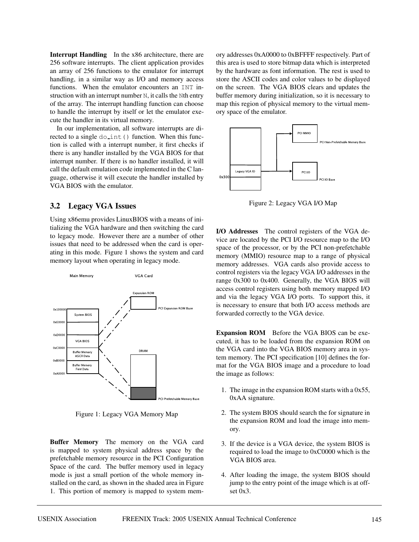**Interrupt Handling** In the x86 architecture, there are 256 software interrupts. The client application provides an array of 256 functions to the emulator for interrupt handling, in a similar way as I/O and memory access functions. When the emulator encounters an INT instruction with an interrupt number N, it calls the Nth entry of the array. The interrupt handling function can choose to handle the interrupt by itself or let the emulator execute the handler in its virtual memory.

In our implementation, all software interrupts are directed to a single  $d$ o $\text{int}(\cdot)$  function. When this function is called with a interrupt number, it first checks if there is any handler installed by the VGA BIOS for that interrupt number. If there is no handler installed, it will call the default emulation code implemented in the C language, otherwise it will execute the handler installed by VGA BIOS with the emulator.

#### **3.2 Legacy VGA Issues**

Using x86emu provides LinuxBIOS with a means of initializing the VGA hardware and then switching the card to legacy mode. However there are a number of other issues that need to be addressed when the card is operating in this mode. Figure 1 shows the system and card memory layout when operating in legacy mode.



Figure 1: Legacy VGA Memory Map

**Buffer Memory** The memory on the VGA card is mapped to system physical address space by the prefetchable memory resource in the PCI Configuration Space of the card. The buffer memory used in legacy mode is just a small portion of the whole memory installed on the card, as shown in the shaded area in Figure 1. This portion of memory is mapped to system memory addresses 0xA0000 to 0xBFFFF respectively. Part of this area is used to store bitmap data which is interpreted by the hardware as font information. The rest is used to store the ASCII codes and color values to be displayed on the screen. The VGA BIOS clears and updates the buffer memory during initialization, so it is necessary to map this region of physical memory to the virtual memory space of the emulator.



Figure 2: Legacy VGA I/O Map

**I/O Addresses** The control registers of the VGA device are located by the PCI I/O resource map to the I/O space of the processor, or by the PCI non-prefetchable memory (MMIO) resource map to a range of physical memory addresses. VGA cards also provide access to control registers via the legacy VGA I/O addresses in the range 0x300 to 0x400. Generally, the VGA BIOS will access control registers using both memory mapped I/O and via the legacy VGA I/O ports. To support this, it is necessary to ensure that both I/O access methods are forwarded correctly to the VGA device.

**Expansion ROM** Before the VGA BIOS can be executed, it has to be loaded from the expansion ROM on the VGA card into the VGA BIOS memory area in system memory. The PCI specification [10] defines the format for the VGA BIOS image and a procedure to load the image as follows:

- 1. The image in the expansion ROM starts with a 0x55, 0xAA signature.
- 2. The system BIOS should search the for signature in the expansion ROM and load the image into memory.
- 3. If the device is a VGA device, the system BIOS is required to load the image to 0xC0000 which is the VGA BIOS area.
- 4. After loading the image, the system BIOS should jump to the entry point of the image which is at offset 0x3.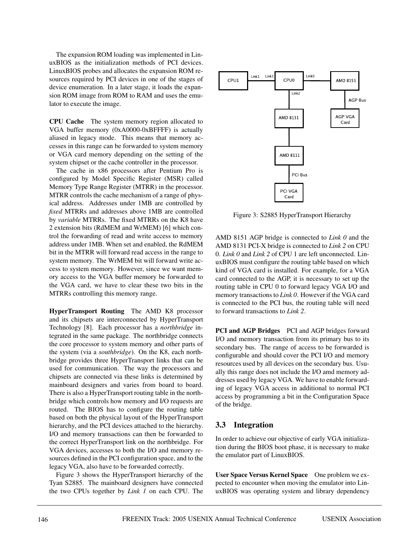The expansion ROM loading was implemented in LinuxBIOS as the initialization methods of PCI devices. LinuxBIOS probes and allocates the expansion ROM resources required by PCI devices in one of the stages of device enumeration. In a later stage, it loads the expansion ROM image from ROM to RAM and uses the emulator to execute the image.

**CPU Cache** The system memory region allocated to VGA buffer memory (0xA0000-0xBFFFF) is actually aliased in legacy mode. This means that memory accesses in this range can be forwarded to system memory or VGA card memory depending on the setting of the system chipset or the cache controller in the processor.

The cache in x86 processors after Pentium Pro is configured by Model Specific Register (MSR) called Memory Type Range Register (MTRR) in the processor. MTRR controls the cache mechanism of a range of physical address. Addresses under 1MB are controlled by *fixed* MTRRs and addresses above 1MB are controlled by *variable* MTRRs. The fixed MTRRs on the K8 have 2 extension bits (RdMEM and WrMEM) [6] which control the forwarding of read and write access to memory address under 1MB. When set and enabled, the RdMEM bit in the MTRR will forward read access in the range to system memory. The WrMEM bit will forward write access to system memory. However, since we want memory access to the VGA buffer memory be forwarded to the VGA card, we have to clear these two bits in the MTRRs controlling this memory range.

**HyperTransport Routing** The AMD K8 processor and its chipsets are interconnected by HyperTransport Technology [8]. Each processor has a *northbridge* integrated in the same package. The northbridge connects the core processor to system memory and other parts of the system (via a *southbridge*). On the K8, each northbridge provides three HyperTransport links that can be used for communication. The way the processors and chipsets are connected via these links is determined by mainboard designers and varies from board to board. There is also a HyperTransport routing table in the northbridge which controls how memory and I/O requests are routed. The BIOS has to configure the routing table based on both the physical layout of the HyperTransport hierarchy, and the PCI devices attached to the hierarchy. I/O and memory transactions can then be forwarded to the correct HyperTransport link on the northbridge. For VGA devices, accesses to both the I/O and memory resources defined in the PCI configuration space, and to the legacy VGA, also have to be forwarded correctly.

Figure 3 shows the HyperTransport hierarchy of the Tyan S2885. The mainboard designers have connected the two CPUs together by *Link 1* on each CPU. The



Figure 3: S2885 HyperTransport Hierarchy

AMD 8151 AGP bridge is connected to *Link 0* and the AMD 8131 PCI-X bridge is connected to *Link 2* on CPU 0. *Link 0* and *Link 2* of CPU 1 are left unconnected. LinuxBIOS must configure the routing table based on which kind of VGA card is installed. For example, for a VGA card connected to the AGP, it is necessary to set up the routing table in CPU 0 to forward legacy VGA I/O and memory transactions to *Link 0*. However if the VGA card is connected to the PCI bus, the routing table will need to forward transactions to *Link 2*.

**PCI and AGP Bridges** PCI and AGP bridges forward I/O and memory transaction from its primary bus to its secondary bus. The range of access to be forwarded is configurable and should cover the PCI I/O and memory resources used by all devices on the secondary bus. Usually this range does not include the I/O amd memory addresses used by legacy VGA. We have to enable forwarding of legacy VGA access in additional to normal PCI access by programming a bit in the Configuration Space of the bridge.

## **3.3 Integration**

In order to achieve our objective of early VGA initialization during the BIOS boot phase, it is necessary to make the emulator part of LinuxBIOS.

**User Space Versus Kernel Space** One problem we expected to encounter when moving the emulator into LinuxBIOS was operating system and library dependency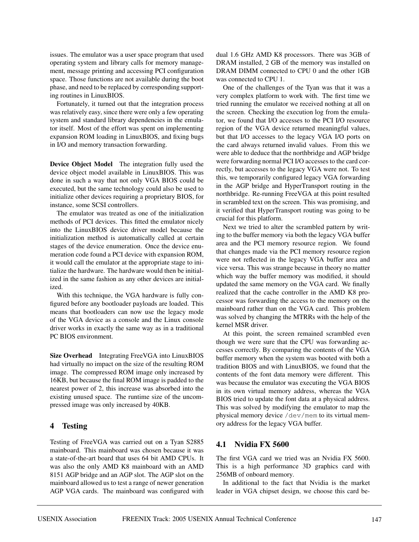issues. The emulator was a user space program that used operating system and library calls for memory management, message printing and accessing PCI configuration space. Those functions are not available during the boot phase, and need to be replaced by corresponding supporting routines in LinuxBIOS.

Fortunately, it turned out that the integration process was relatively easy, since there were only a few operating system and standard library dependencies in the emulator itself. Most of the effort was spent on implementing expansion ROM loading in LinuxBIOS, and fixing bugs in I/O and memory transaction forwarding.

**Device Object Model** The integration fully used the device object model available in LinuxBIOS. This was done in such a way that not only VGA BIOS could be executed, but the same technology could also be used to initialize other devices requiring a proprietary BIOS, for instance, some SCSI controllers.

The emulator was treated as one of the initialization methods of PCI devices. This fitted the emulator nicely into the LinuxBIOS device driver model because the initialization method is automatically called at certain stages of the device enumeration. Once the device enumeration code found a PCI device with expansion ROM, it would call the emulator at the appropriate stage to initialize the hardware. The hardware would then be initialized in the same fashion as any other devices are initialized.

With this technique, the VGA hardware is fully configured before any bootloader payloads are loaded. This means that bootloaders can now use the legacy mode of the VGA device as a console and the Linux console driver works in exactly the same way as in a traditional PC BIOS environment.

**Size Overhead** Integrating FreeVGA into LinuxBIOS had virtually no impact on the size of the resulting ROM image. The compressed ROM image only increased by 16KB, but because the final ROM image is padded to the nearest power of 2, this increase was absorbed into the existing unused space. The runtime size of the uncompressed image was only increased by 40KB.

## **4 Testing**

Testing of FreeVGA was carried out on a Tyan S2885 mainboard. This mainboard was chosen because it was a state-of-the-art board that uses 64 bit AMD CPUs. It was also the only AMD K8 mainboard with an AMD 8151 AGP bridge and an AGP slot. The AGP slot on the mainboard allowed us to test a range of newer generation AGP VGA cards. The mainboard was configured with

dual 1.6 GHz AMD K8 processors. There was 3GB of DRAM installed, 2 GB of the memory was installed on DRAM DIMM connected to CPU 0 and the other 1GB was connected to CPU 1.

One of the challenges of the Tyan was that it was a very complex platform to work with. The first time we tried running the emulator we received nothing at all on the screen. Checking the execution log from the emulator, we found that I/O accesses to the PCI I/O resource region of the VGA device returned meaningful values, but that I/O accesses to the legacy VGA I/O ports on the card always returned invalid values. From this we were able to deduce that the northbridge and AGP bridge were forwarding normal PCI I/O accesses to the card correctly, but accesses to the legacy VGA were not. To test this, we temporarily configured legacy VGA forwarding in the AGP bridge and HyperTransport routing in the northbridge. Re-running FreeVGA at this point resulted in scrambled text on the screen. This was promising, and it verified that HyperTransport routing was going to be crucial for this platform.

Next we tried to alter the scrambled pattern by writing to the buffer memory via both the legacy VGA buffer area and the PCI memory resource region. We found that changes made via the PCI memory resource region were not reflected in the legacy VGA buffer area and vice versa. This was strange because in theory no matter which way the buffer memory was modified, it should updated the same memory on the VGA card. We finally realized that the cache controller in the AMD K8 processor was forwarding the access to the memory on the mainboard rather than on the VGA card. This problem was solved by changing the MTRRs with the help of the kernel MSR driver.

At this point, the screen remained scrambled even though we were sure that the CPU was forwarding accesses correctly. By comparing the contents of the VGA buffer memory when the system was booted with both a tradition BIOS and with LinuxBIOS, we found that the contents of the font data memory were different. This was because the emulator was executing the VGA BIOS in its own virtual memory address, whereas the VGA BIOS tried to update the font data at a physical address. This was solved by modifying the emulator to map the physical memory device /dev/mem to its virtual memory address for the legacy VGA buffer.

## **4.1 Nvidia FX 5600**

The first VGA card we tried was an Nvidia FX 5600. This is a high performance 3D graphics card with 256MB of onboard memory.

In additional to the fact that Nvidia is the market leader in VGA chipset design, we choose this card be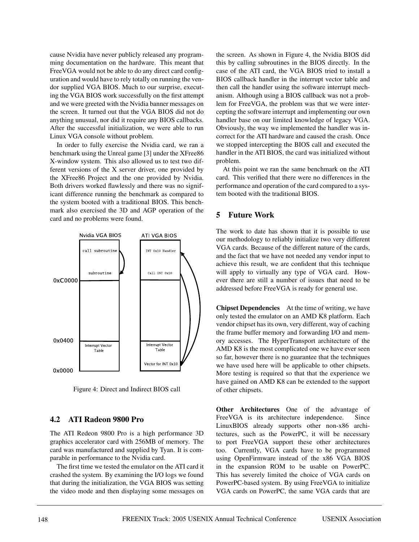cause Nvidia have never publicly released any programming documentation on the hardware. This meant that FreeVGA would not be able to do any direct card configuration and would have to rely totally on running the vendor supplied VGA BIOS. Much to our surprise, executing the VGA BIOS work successfully on the first attempt and we were greeted with the Nvidia banner messages on the screen. It turned out that the VGA BIOS did not do anything unusual, nor did it require any BIOS callbacks. After the successful initialization, we were able to run Linux VGA console without problem.

In order to fully exercise the Nvidia card, we ran a benchmark using the Unreal game [3] under the XFree86 X-window system. This also allowed us to test two different versions of the X server driver, one provided by the XFree86 Project and the one provided by Nvidia. Both drivers worked flawlessly and there was no significant difference running the benchmark as compared to the system booted with a traditional BIOS. This benchmark also exercised the 3D and AGP operation of the card and no problems were found.



Figure 4: Direct and Indirect BIOS call

#### **4.2 ATI Radeon 9800 Pro**

The ATI Redeon 9800 Pro is a high performance 3D graphics accelerator card with 256MB of memory. The card was manufactured and supplied by Tyan. It is comparable in performance to the Nvidia card.

The first time we tested the emulator on the ATI card it crashed the system. By examining the I/O logs we found that during the initialization, the VGA BIOS was setting the video mode and then displaying some messages on

the screen. As shown in Figure 4, the Nvidia BIOS did this by calling subroutines in the BIOS directly. In the case of the ATI card, the VGA BIOS tried to install a BIOS callback handler in the interrupt vector table and then call the handler using the software interrupt mechanism. Although using a BIOS callback was not a problem for FreeVGA, the problem was that we were intercepting the software interrupt and implementing our own handler base on our limited knowledge of legacy VGA. Obviously, the way we implemented the handler was incorrect for the ATI hardware and caused the crash. Once we stopped intercepting the BIOS call and executed the handler in the ATI BIOS, the card was initialized without problem.

At this point we ran the same benchmark on the ATI card. This verified that there were no differences in the performance and operation of the card compared to a system booted with the traditional BIOS.

## **5 Future Work**

The work to date has shown that it is possible to use our methodology to reliably initialize two very different VGA cards. Because of the different nature of the cards, and the fact that we have not needed any vendor input to achieve this result, we are confident that this technique will apply to virtually any type of VGA card. However there are still a number of issues that need to be addressed before FreeVGA is ready for general use.

**Chipset Dependencies** At the time of writing, we have only tested the emulator on an AMD K8 platform. Each vendor chipset has its own, very different, way of caching the frame buffer memory and forwarding I/O and memory accesses. The HyperTransport architecture of the AMD K8 is the most complicated one we have ever seen so far, however there is no guarantee that the techniques we have used here will be applicable to other chipsets. More testing is required so that that the experience we have gained on AMD K8 can be extended to the support of other chipsets.

**Other Architectures** One of the advantage of FreeVGA is its architecture independence. Since LinuxBIOS already supports other non-x86 architectures, such as the PowerPC, it will be necessary to port FreeVGA support these other architectures too. Currently, VGA cards have to be programmed using OpenFirmware instead of the x86 VGA BIOS in the expansion ROM to be usable on PowerPC. This has severely limited the choice of VGA cards on PowerPC-based system. By using FreeVGA to initialize VGA cards on PowerPC, the same VGA cards that are